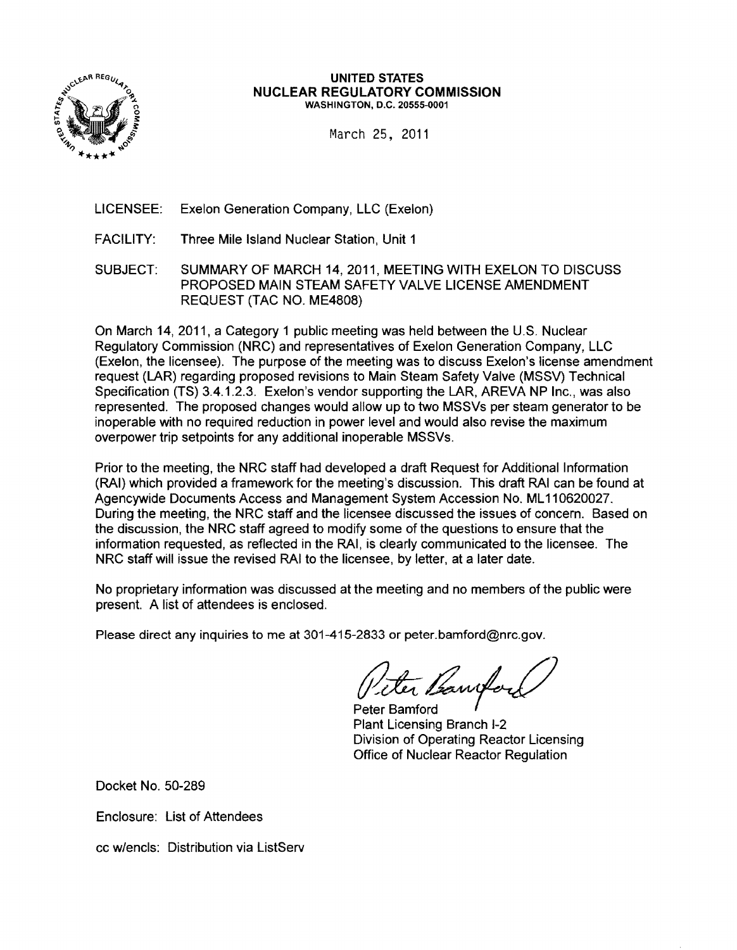

#### **UNITED STATES NUCLEAR REGULATORY COMMISSION**  0 WASHINGTON, D.C. 20555-0001

March 25. 2011

LICENSEE: Exelon Generation Company, LLC (Exelon)

- FACILITY: Three Mile Island Nuclear Station, Unit 1
- SUBJECT: SUMMARY OF MARCH 14, 2011, MEETING WITH EXELON TO DISCUSS PROPOSED MAIN STEAM SAFETY VALVE LICENSE AMENDMENT REQUEST (TAC NO. ME4808)

On March 14, 2011, a Category 1 public meeting was held between the U.S. Nuclear Regulatory Commission (NRC) and representatives of Exelon Generation Company, LLC (Exelon, the licensee). The purpose of the meeting was to discuss Exelon's license amendment request (LAR) regarding proposed revisions to Main Steam Safety Valve (MSSV) Technical Specification (TS) 3.4.1.2.3. Exelon's vendor supporting the LAR, AREVA NP Inc., was also represented. The proposed changes would allow up to two MSSVs per steam generator to be inoperable with no required reduction in power level and would also revise the maximum overpower trip setpoints for any additional inoperable MSSVs.

Prior to the meeting, the NRC staff had developed a draft Request for Additional Information (RAI) which provided a framework for the meeting's discussion. This draft RAI can be found at Agencywide Documents Access and Management System Accession No. ML 110620027. During the meeting, the NRC staff and the licensee discussed the issues of concern. Based on the discussion, the NRC staff agreed to modify some of the questions to ensure that the information requested, as reflected in the RAI, is clearly communicated to the licensee. The NRC staff will issue the revised RAI to the licensee, by letter, at a later date.

No proprietary information was discussed at the meeting and no members of the public were present. A list of attendees is enclosed.

Please direct any inquiries to me at 301-415-2833 or peter.bamford@nrc.gov.

ter Bannfo

Peter Bamford Plant Licensing Branch 1-2 Division of Operating Reactor Licensing Office of Nuclear Reactor Regulation

Docket No. 50-289

Enclosure: List of Attendees

cc w/encls: Distribution via ListServ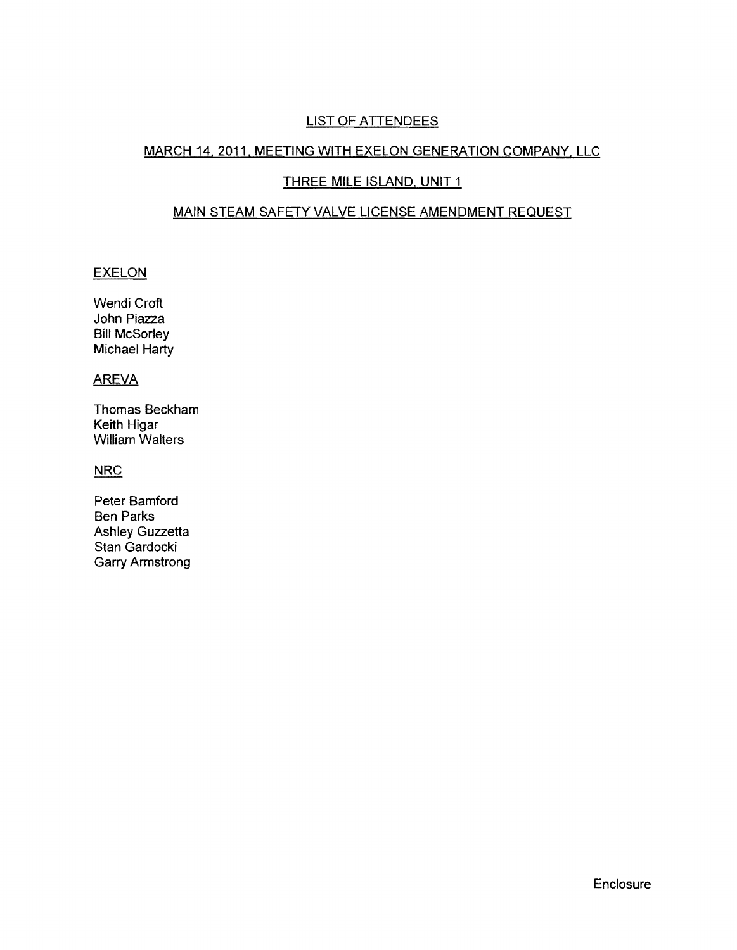# LIST OF ATTENDEES

### MARCH 14,2011, MEETING WITH EXELON GENERATION COMPANY, LLC

### THREE MILE ISLAND, UNIT 1

# MAIN STEAM SAFETY VALVE LICENSE AMENDMENT REQUEST

### **EXELON**

Wendi Croft John Piazza Bill McSorley Michael Harty

## AREVA

Thomas Beckham Keith Higar William Walters

#### **NRC**

Peter Bamford Ben Parks Ashley Guzzetta Stan Gardocki Garry Armstrong